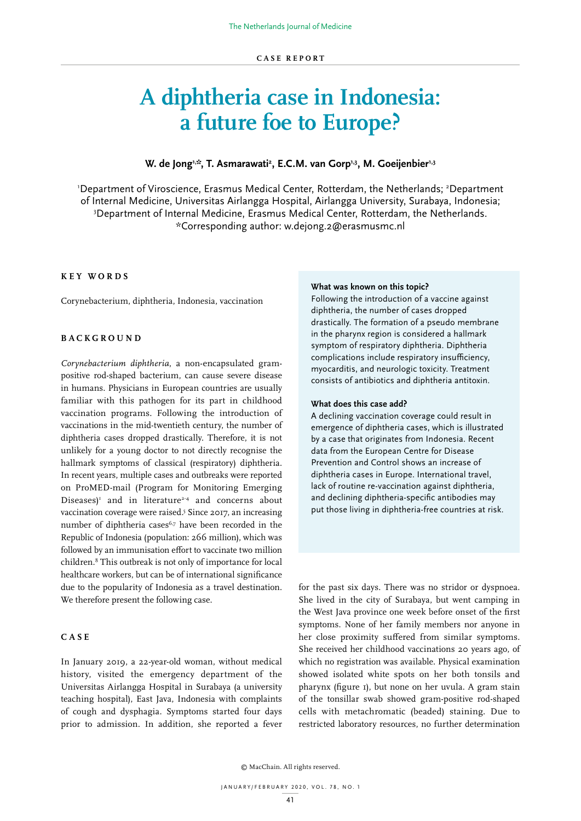# **A diphtheria case in Indonesia: a future foe to Europe?**

# W. de Jong<sup>1,;</sup>, T. Asmarawati<sup>2</sup>, E.C.M. van Gorp<sup>1,3</sup>, M. Goeijenbier<sup>1,3</sup>

'Department of Viroscience, Erasmus Medical Center, Rotterdam, the Netherlands; <sup>2</sup>Department of Internal Medicine, Universitas Airlangga Hospital, Airlangga University, Surabaya, Indonesia; 3 Department of Internal Medicine, Erasmus Medical Center, Rotterdam, the Netherlands. \*Corresponding author: w.dejong.2@erasmusmc.nl

# **KEY WORDS**

Corynebacterium, diphtheria, Indonesia, vaccination

# **BACKGROUND**

*Corynebacterium diphtheria*, a non-encapsulated grampositive rod-shaped bacterium, can cause severe disease in humans. Physicians in European countries are usually familiar with this pathogen for its part in childhood vaccination programs. Following the introduction of vaccinations in the mid-twentieth century, the number of diphtheria cases dropped drastically. Therefore, it is not unlikely for a young doctor to not directly recognise the hallmark symptoms of classical (respiratory) diphtheria. In recent years, multiple cases and outbreaks were reported on ProMED-mail (Program for Monitoring Emerging Diseases)<sup>1</sup> and in literature<sup>2-4</sup> and concerns about vaccination coverage were raised.<sup>5</sup> Since 2017, an increasing number of diphtheria cases<sup>6,7</sup> have been recorded in the Republic of Indonesia (population: 266 million), which was followed by an immunisation effort to vaccinate two million children.8 This outbreak is not only of importance for local healthcare workers, but can be of international significance due to the popularity of Indonesia as a travel destination. We therefore present the following case.

# **CASE**

In January 2019, a 22-year-old woman, without medical history, visited the emergency department of the Universitas Airlangga Hospital in Surabaya (a university teaching hospital), East Java, Indonesia with complaints of cough and dysphagia. Symptoms started four days prior to admission. In addition, she reported a fever

#### **What was known on this topic?**

Following the introduction of a vaccine against diphtheria, the number of cases dropped drastically. The formation of a pseudo membrane in the pharynx region is considered a hallmark symptom of respiratory diphtheria. Diphtheria complications include respiratory insufficiency, myocarditis, and neurologic toxicity. Treatment consists of antibiotics and diphtheria antitoxin.

# **What does this case add?**

A declining vaccination coverage could result in emergence of diphtheria cases, which is illustrated by a case that originates from Indonesia. Recent data from the European Centre for Disease Prevention and Control shows an increase of diphtheria cases in Europe. International travel, lack of routine re-vaccination against diphtheria, and declining diphtheria-specific antibodies may put those living in diphtheria-free countries at risk.

for the past six days. There was no stridor or dyspnoea. She lived in the city of Surabaya, but went camping in the West Java province one week before onset of the first symptoms. None of her family members nor anyone in her close proximity suffered from similar symptoms. She received her childhood vaccinations 20 years ago, of which no registration was available. Physical examination showed isolated white spots on her both tonsils and pharynx (figure 1), but none on her uvula. A gram stain of the tonsillar swab showed gram-positive rod-shaped cells with metachromatic (beaded) staining. Due to restricted laboratory resources, no further determination

© MacChain. All rights reserved.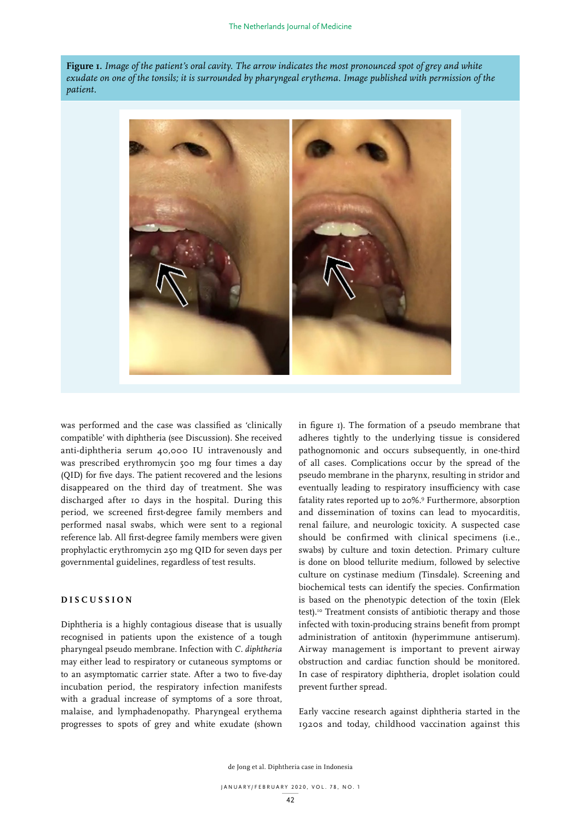**Figure 1.** *Image of the patient's oral cavity. The arrow indicates the most pronounced spot of grey and white exudate on one of the tonsils; it is surrounded by pharyngeal erythema. Image published with permission of the patient.*



was performed and the case was classified as 'clinically compatible' with diphtheria (see Discussion). She received anti-diphtheria serum 40,000 IU intravenously and was prescribed erythromycin 500 mg four times a day (QID) for five days. The patient recovered and the lesions disappeared on the third day of treatment. She was discharged after 10 days in the hospital. During this period, we screened first-degree family members and performed nasal swabs, which were sent to a regional reference lab. All first-degree family members were given prophylactic erythromycin 250 mg QID for seven days per governmental guidelines, regardless of test results.

# **DISCUSSION**

Diphtheria is a highly contagious disease that is usually recognised in patients upon the existence of a tough pharyngeal pseudo membrane. Infection with *C. diphtheria* may either lead to respiratory or cutaneous symptoms or to an asymptomatic carrier state. After a two to five-day incubation period, the respiratory infection manifests with a gradual increase of symptoms of a sore throat, malaise, and lymphadenopathy. Pharyngeal erythema progresses to spots of grey and white exudate (shown in figure 1). The formation of a pseudo membrane that adheres tightly to the underlying tissue is considered pathognomonic and occurs subsequently, in one-third of all cases. Complications occur by the spread of the pseudo membrane in the pharynx, resulting in stridor and eventually leading to respiratory insufficiency with case fatality rates reported up to 20%.9 Furthermore, absorption and dissemination of toxins can lead to myocarditis, renal failure, and neurologic toxicity. A suspected case should be confirmed with clinical specimens (i.e., swabs) by culture and toxin detection. Primary culture is done on blood tellurite medium, followed by selective culture on cystinase medium (Tinsdale). Screening and biochemical tests can identify the species. Confirmation is based on the phenotypic detection of the toxin (Elek test).<sup>10</sup> Treatment consists of antibiotic therapy and those infected with toxin-producing strains benefit from prompt administration of antitoxin (hyperimmune antiserum). Airway management is important to prevent airway obstruction and cardiac function should be monitored. In case of respiratory diphtheria, droplet isolation could prevent further spread.

Early vaccine research against diphtheria started in the 1920s and today, childhood vaccination against this

de Jong et al. Diphtheria case in Indonesia